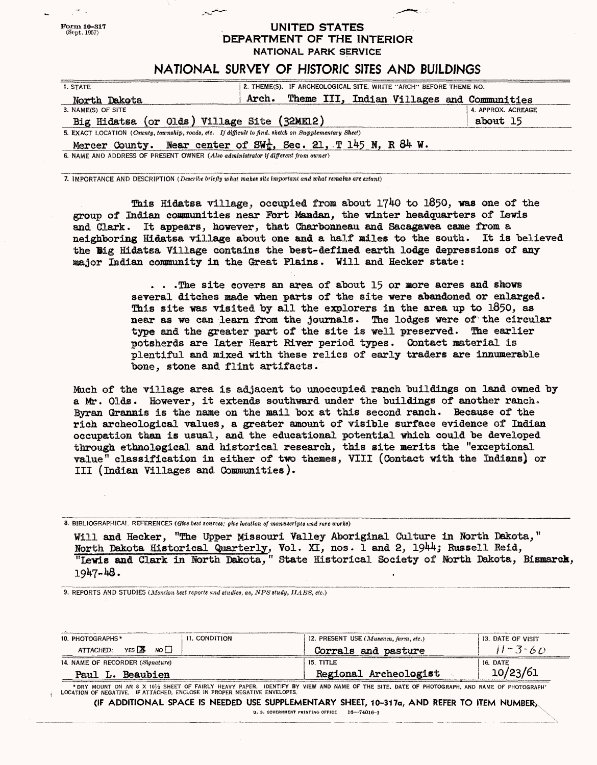## **UNITED STATES** DEPARTMENT OF THE INTERIOR NATIONAL PARK SERVICE

## NATIONAL SURVEY OF HISTORIC SITES AND BUILDINGS

| 1. STATE                                                                                              | 2. THEME(S). IF ARCHEOLOGICAL SITE, WRITE "ARCH" BEFORE THEME NO.              |                    |
|-------------------------------------------------------------------------------------------------------|--------------------------------------------------------------------------------|--------------------|
| North Dakota                                                                                          | Theme III, Indian Villages and Communities<br>Arch.                            |                    |
| 3. NAME(S) OF SITE                                                                                    |                                                                                | 4. APPROX. ACREAGE |
| Big Hidatsa (or Olds) Village Site (32ME12)                                                           |                                                                                | about 15           |
| 5. EXACT LOCATION (County, township, roads, etc. If difficult to find, sketch on Supplementary Sheet) |                                                                                |                    |
|                                                                                                       | Mercer County. Near center of $SW_x^{\frac{1}{2}}$ , Sec. 21, T 145 N, R 84 W. |                    |
| 6. NAME AND ADDRESS OF PRESENT OWNER (Also administrator if different from owner)                     |                                                                                |                    |

*7.* IMPORTANCE AND DESCRIPTION *(Describe briefly what makes site important and what remains are extant)*

*Form* **10-817** (Sept, 1957)

> This Hidatsa village, occupied from about 1740 to 1850, was one of the group of Indian communities near Fort Mandan, the winter headquarters of Lewis and Clark. It appears, however, that Gharbonneam and Saeagawea came from a neighboring Hidatsa village about one and a half miles to the south. It is believed the Big Hidatsa Village contains the best-defined earth lodge depressions of any aajor Indian community ia the Great ELains. Will and Heeker state:

> > ...The site covers an area of about 15 or more acres and shows several ditches made when parts of the site were abandoned or enlarged. This site was visited by all the explorers in the area up to 1850, as near as we can learn from the journals. The lodges were of the circular type and the greater part of the site is well preserved. The earlier potsherds are later Heart Biver period types. Contact aaterial is plentiful and mixed with these relics of early traders are innumerable bone, stone and flint artifacts.

Much of the village area is adjacent to unoccupied ranch buildings on land owned by a Mr. Olds. However, it extends southward under the buildings of another ranch. lyran Grannie is the on the nail "box at this second ranch. Because of the rich archeological values, a greater amount of visible surface evidence of Indian occupation than is usual, and the educational potential which could be developed through ethnological and historical research, this site merits the "exceptional value" classification in either of two themes, Till (Contact with the Indians) or III (Indian Tillages and Communities ) .

8. BIBLIOGRAPHICAL REFERENCES (Give best sources; give location of manuscripts and rare works)

Will and Hecker, "The Upper Missouri Valley Aboriginal Culture in North Dakota," North Dakota Historical Quarterly, Vol. XI, nos. 1 and 2, 1944; Russell Reid, "Lewis and Clark in lorth Dakota," State Historical Society of Mbrth Bakota, Bismarck, 1947-48.

9. REPORTS AND STUDIES *(Mention best reports and studies, as, NPSstudy, IlABS, etc.)*

| 10. PHOTOGRAPHS*                 | 11. CONDITION | 12. PRESENT USE $(Museum, farm, etc.)$ | 13. DATE OF VISIT |
|----------------------------------|---------------|----------------------------------------|-------------------|
| NO∏<br>YES X<br>ATTACHED:        |               | Corrals and pasture                    | $11 - 3 - 60$     |
| 14. NAME OF RECORDER (Signature) |               | 15. TITLE                              | 16. DATE          |
| Paul L. Beaubien                 |               | Regional Archeologist                  | 10/23/61          |

\*DRY MOUNT ON AN 8 X 10½ SHEET OF FAIRLY HEAVY PAPER. IDENTIFY BY VIEW AND NAME OF THE SITE, DATE OF PHOTOGRAPH, AND NAME OF PHOTOGRAPH'<br>LOCATION OF NEGATIVE. IF ATTACHED, ENCLOSE IN PROPER NEGATIVE ENVELOPES.

**(IF ADDITIONAL SPACE IS NEEDED USE SUPPLEMENTARY SHEET, 10-31 la, AND REFER TO ITEM NUMBER^** U. S. GOVERNMENT **PRINTING** OFFICE **Ifl**—**?4016~1 X'**